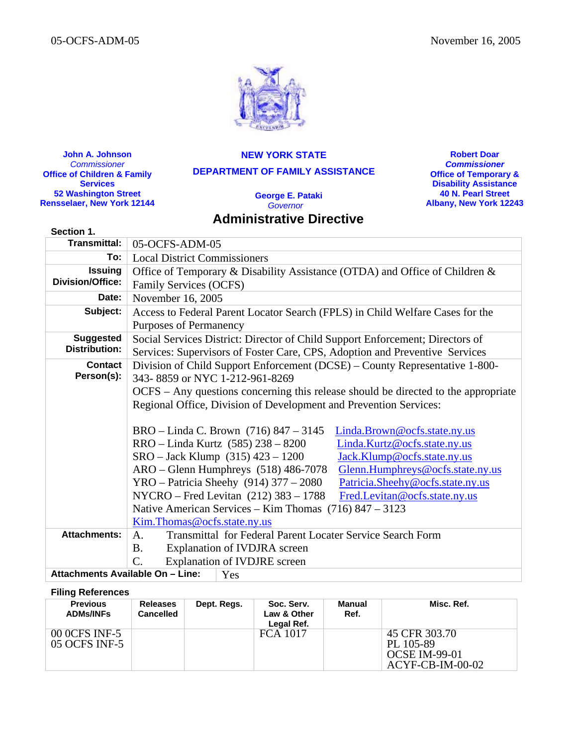

**John A. Johnson**  *Commissioner*  **Office of Children & Family Services 52 Washington Street Rensselaer, New York 12144**

**NEW YORK STATE DEPARTMENT OF FAMILY ASSISTANCE** 

> **George E. Pataki**  *Governor*

# **Administrative Directive**

**Robert Doar** *Commissioner*  **Office of Temporary & Disability Assistance 40 N. Pearl Street Albany, New York 12243**

| Section 1.                       |                                                                                    |  |  |  |  |  |  |
|----------------------------------|------------------------------------------------------------------------------------|--|--|--|--|--|--|
| <b>Transmittal:</b>              | 05-OCFS-ADM-05                                                                     |  |  |  |  |  |  |
| To:                              | <b>Local District Commissioners</b>                                                |  |  |  |  |  |  |
| <b>Issuing</b>                   | Office of Temporary & Disability Assistance (OTDA) and Office of Children &        |  |  |  |  |  |  |
| <b>Division/Office:</b>          | <b>Family Services (OCFS)</b>                                                      |  |  |  |  |  |  |
| Date:                            | November 16, 2005                                                                  |  |  |  |  |  |  |
| Subject:                         | Access to Federal Parent Locator Search (FPLS) in Child Welfare Cases for the      |  |  |  |  |  |  |
|                                  | <b>Purposes of Permanency</b>                                                      |  |  |  |  |  |  |
| <b>Suggested</b>                 | Social Services District: Director of Child Support Enforcement; Directors of      |  |  |  |  |  |  |
| <b>Distribution:</b>             | Services: Supervisors of Foster Care, CPS, Adoption and Preventive Services        |  |  |  |  |  |  |
| Contact                          | Division of Child Support Enforcement (DCSE) – County Representative 1-800-        |  |  |  |  |  |  |
| Person(s):                       | 343-8859 or NYC 1-212-961-8269                                                     |  |  |  |  |  |  |
|                                  | OCFS – Any questions concerning this release should be directed to the appropriate |  |  |  |  |  |  |
|                                  | Regional Office, Division of Development and Prevention Services:                  |  |  |  |  |  |  |
|                                  |                                                                                    |  |  |  |  |  |  |
|                                  | BRO – Linda C. Brown (716) 847 – 3145<br>Linda.Brown@ocfs.state.ny.us              |  |  |  |  |  |  |
|                                  | RRO - Linda Kurtz (585) 238 - 8200<br>Linda.Kurtz@ocfs.state.ny.us                 |  |  |  |  |  |  |
|                                  | $SRO - Jack Klump$ (315) 423 - 1200<br>Jack.Klump@ocfs.state.ny.us                 |  |  |  |  |  |  |
|                                  | $ARO - Glenn$ Humphreys $(518)$ 486-7078<br>Glenn.Humphreys@ocfs.state.ny.us       |  |  |  |  |  |  |
|                                  | YRO - Patricia Sheehy $(914)$ 377 - 2080<br>Patricia.Sheehy@ocfs.state.ny.us       |  |  |  |  |  |  |
|                                  | NYCRO – Fred Levitan (212) 383 – 1788<br>Fred.Levitan@ocfs.state.ny.us             |  |  |  |  |  |  |
|                                  | Native American Services – Kim Thomas $(716)$ 847 – 3123                           |  |  |  |  |  |  |
|                                  | Kim. Thomas @ocfs.state.ny.us                                                      |  |  |  |  |  |  |
| <b>Attachments:</b>              | <b>Transmittal for Federal Parent Locater Service Search Form</b><br>A.            |  |  |  |  |  |  |
|                                  | Explanation of IVDJRA screen<br><b>B.</b>                                          |  |  |  |  |  |  |
|                                  | <b>Explanation of IVDJRE</b> screen<br>C.                                          |  |  |  |  |  |  |
| Attachments Available On - Line: | Yes                                                                                |  |  |  |  |  |  |

#### **Filing References**

| <b>Previous</b><br><b>ADMs/INFs</b> | Releases<br><b>Cancelled</b> | Dept. Regs. | Soc. Serv.<br>Law & Other<br>Legal Ref. | <b>Manual</b><br>Ref. | Misc. Ref.                                                               |
|-------------------------------------|------------------------------|-------------|-----------------------------------------|-----------------------|--------------------------------------------------------------------------|
| 00 0CFS INF-5<br>05 OCFS INF-5      |                              |             | FCA 1017                                |                       | 45 CFR 303.70<br>PL 105-89<br><b>OCSE IM-99-01</b><br>$ACYF-CB-IM-00-02$ |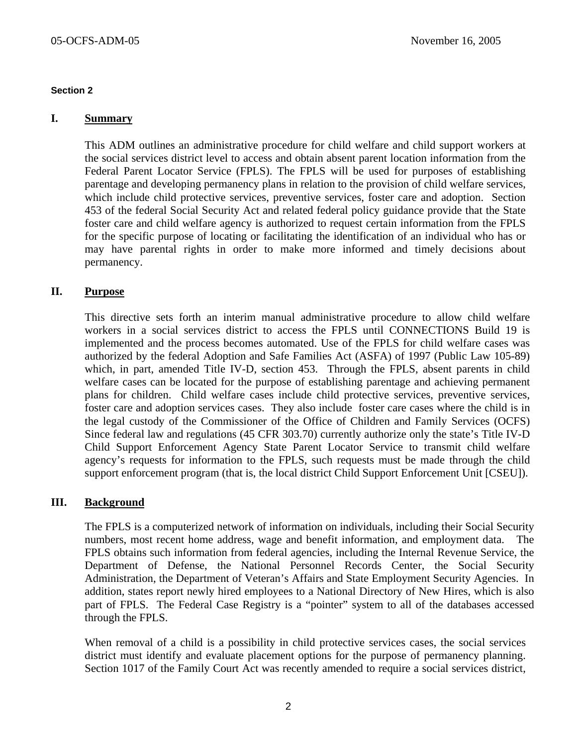## **Section 2**

## **I. Summary**

This ADM outlines an administrative procedure for child welfare and child support workers at the social services district level to access and obtain absent parent location information from the Federal Parent Locator Service (FPLS). The FPLS will be used for purposes of establishing parentage and developing permanency plans in relation to the provision of child welfare services, which include child protective services, preventive services, foster care and adoption. Section 453 of the federal Social Security Act and related federal policy guidance provide that the State foster care and child welfare agency is authorized to request certain information from the FPLS for the specific purpose of locating or facilitating the identification of an individual who has or may have parental rights in order to make more informed and timely decisions about permanency.

## **II. Purpose**

This directive sets forth an interim manual administrative procedure to allow child welfare workers in a social services district to access the FPLS until CONNECTIONS Build 19 is implemented and the process becomes automated. Use of the FPLS for child welfare cases was authorized by the federal Adoption and Safe Families Act (ASFA) of 1997 (Public Law 105-89) which, in part, amended Title IV-D, section 453. Through the FPLS, absent parents in child welfare cases can be located for the purpose of establishing parentage and achieving permanent plans for children. Child welfare cases include child protective services, preventive services, foster care and adoption services cases. They also include foster care cases where the child is in the legal custody of the Commissioner of the Office of Children and Family Services (OCFS) Since federal law and regulations (45 CFR 303.70) currently authorize only the state's Title IV-D Child Support Enforcement Agency State Parent Locator Service to transmit child welfare agency's requests for information to the FPLS, such requests must be made through the child support enforcement program (that is, the local district Child Support Enforcement Unit [CSEU]).

## **III. Background**

The FPLS is a computerized network of information on individuals, including their Social Security numbers, most recent home address, wage and benefit information, and employment data. The FPLS obtains such information from federal agencies, including the Internal Revenue Service, the Department of Defense, the National Personnel Records Center, the Social Security Administration, the Department of Veteran's Affairs and State Employment Security Agencies. In addition, states report newly hired employees to a National Directory of New Hires, which is also part of FPLS. The Federal Case Registry is a "pointer" system to all of the databases accessed through the FPLS.

When removal of a child is a possibility in child protective services cases, the social services district must identify and evaluate placement options for the purpose of permanency planning. Section 1017 of the Family Court Act was recently amended to require a social services district,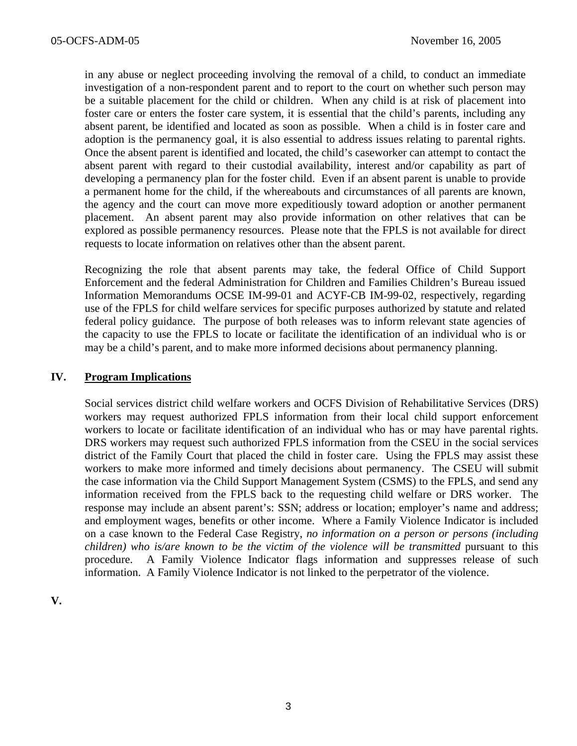in any abuse or neglect proceeding involving the removal of a child, to conduct an immediate investigation of a non-respondent parent and to report to the court on whether such person may be a suitable placement for the child or children. When any child is at risk of placement into foster care or enters the foster care system, it is essential that the child's parents, including any absent parent, be identified and located as soon as possible. When a child is in foster care and adoption is the permanency goal, it is also essential to address issues relating to parental rights. Once the absent parent is identified and located, the child's caseworker can attempt to contact the absent parent with regard to their custodial availability, interest and/or capability as part of developing a permanency plan for the foster child. Even if an absent parent is unable to provide a permanent home for the child, if the whereabouts and circumstances of all parents are known, the agency and the court can move more expeditiously toward adoption or another permanent placement. An absent parent may also provide information on other relatives that can be explored as possible permanency resources. Please note that the FPLS is not available for direct requests to locate information on relatives other than the absent parent.

Recognizing the role that absent parents may take, the federal Office of Child Support Enforcement and the federal Administration for Children and Families Children's Bureau issued Information Memorandums OCSE IM-99-01 and ACYF-CB IM-99-02, respectively, regarding use of the FPLS for child welfare services for specific purposes authorized by statute and related federal policy guidance. The purpose of both releases was to inform relevant state agencies of the capacity to use the FPLS to locate or facilitate the identification of an individual who is or may be a child's parent, and to make more informed decisions about permanency planning.

## **IV. Program Implications**

Social services district child welfare workers and OCFS Division of Rehabilitative Services (DRS) workers may request authorized FPLS information from their local child support enforcement workers to locate or facilitate identification of an individual who has or may have parental rights. DRS workers may request such authorized FPLS information from the CSEU in the social services district of the Family Court that placed the child in foster care. Using the FPLS may assist these workers to make more informed and timely decisions about permanency. The CSEU will submit the case information via the Child Support Management System (CSMS) to the FPLS, and send any information received from the FPLS back to the requesting child welfare or DRS worker. The response may include an absent parent's: SSN; address or location; employer's name and address; and employment wages, benefits or other income. Where a Family Violence Indicator is included on a case known to the Federal Case Registry, *no information on a person or persons (including children) who is/are known to be the victim of the violence will be transmitted* pursuant to this procedure. A Family Violence Indicator flags information and suppresses release of such information. A Family Violence Indicator is not linked to the perpetrator of the violence.

**V.**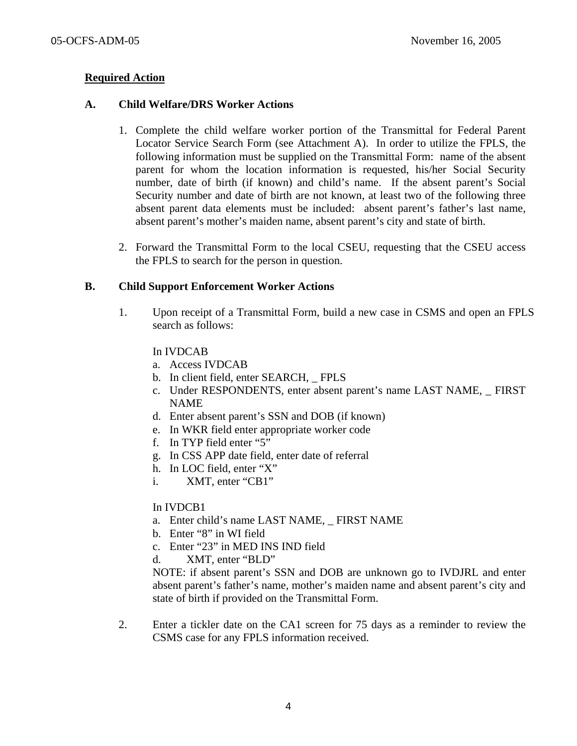# **Required Action**

## **A. Child Welfare/DRS Worker Actions**

- 1. Complete the child welfare worker portion of the Transmittal for Federal Parent Locator Service Search Form (see Attachment A). In order to utilize the FPLS, the following information must be supplied on the Transmittal Form: name of the absent parent for whom the location information is requested, his/her Social Security number, date of birth (if known) and child's name. If the absent parent's Social Security number and date of birth are not known, at least two of the following three absent parent data elements must be included: absent parent's father's last name, absent parent's mother's maiden name, absent parent's city and state of birth.
- 2. Forward the Transmittal Form to the local CSEU, requesting that the CSEU access the FPLS to search for the person in question.

## **B. Child Support Enforcement Worker Actions**

1. Upon receipt of a Transmittal Form, build a new case in CSMS and open an FPLS search as follows:

## In IVDCAB

- a. Access IVDCAB
- b. In client field, enter SEARCH, \_ FPLS
- c. Under RESPONDENTS, enter absent parent's name LAST NAME, FIRST NAME
- d. Enter absent parent's SSN and DOB (if known)
- e. In WKR field enter appropriate worker code
- f. In TYP field enter "5"
- g. In CSS APP date field, enter date of referral
- h. In LOC field, enter "X"
- i. XMT, enter "CB1"

## In IVDCB1

- a. Enter child's name LAST NAME, FIRST NAME
- b. Enter "8" in WI field
- c. Enter "23" in MED INS IND field
- d. XMT, enter "BLD"

NOTE: if absent parent's SSN and DOB are unknown go to IVDJRL and enter absent parent's father's name, mother's maiden name and absent parent's city and state of birth if provided on the Transmittal Form.

2. Enter a tickler date on the CA1 screen for 75 days as a reminder to review the CSMS case for any FPLS information received.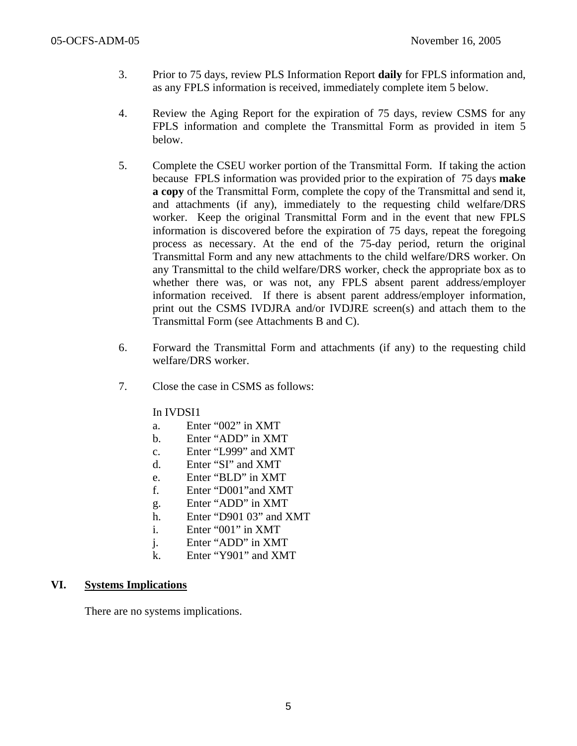- 3. Prior to 75 days, review PLS Information Report **daily** for FPLS information and, as any FPLS information is received, immediately complete item 5 below.
- 4. Review the Aging Report for the expiration of 75 days, review CSMS for any FPLS information and complete the Transmittal Form as provided in item 5 below.
- 5. Complete the CSEU worker portion of the Transmittal Form. If taking the action because FPLS information was provided prior to the expiration of 75 days **make a copy** of the Transmittal Form, complete the copy of the Transmittal and send it, and attachments (if any), immediately to the requesting child welfare/DRS worker. Keep the original Transmittal Form and in the event that new FPLS information is discovered before the expiration of 75 days, repeat the foregoing process as necessary. At the end of the 75-day period, return the original Transmittal Form and any new attachments to the child welfare/DRS worker. On any Transmittal to the child welfare/DRS worker, check the appropriate box as to whether there was, or was not, any FPLS absent parent address/employer information received. If there is absent parent address/employer information, print out the CSMS IVDJRA and/or IVDJRE screen(s) and attach them to the Transmittal Form (see Attachments B and C).
- 6. Forward the Transmittal Form and attachments (if any) to the requesting child welfare/DRS worker.
- 7. Close the case in CSMS as follows:

## In IVDSI1

- a. Enter "002" in XMT
- b. Enter "ADD" in XMT
- c. Enter "L999" and XMT
- d. Enter "SI" and XMT
- e. Enter "BLD" in XMT
- f. Enter "D001"and XMT
- g. Enter "ADD" in XMT
- h. Enter "D901 03" and XMT
- i. Enter "001" in XMT
- j. Enter "ADD" in XMT
- k. Enter "Y901" and XMT

## **VI. Systems Implications**

There are no systems implications.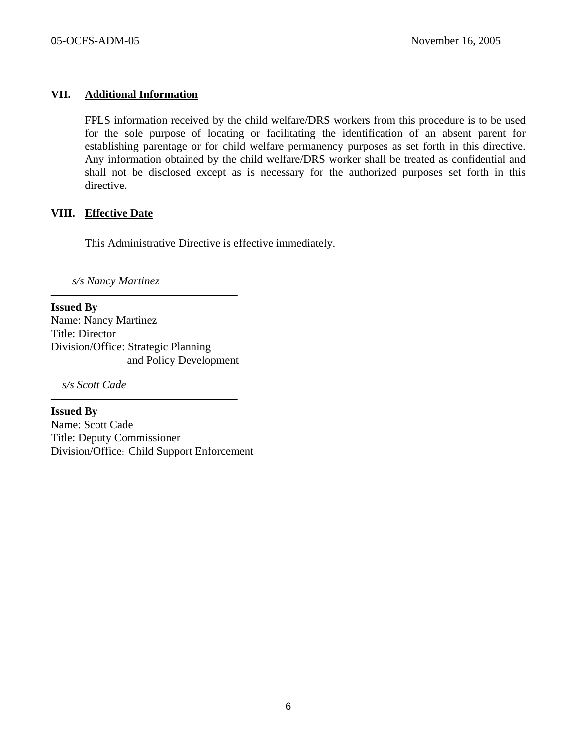## **VII. Additional Information**

FPLS information received by the child welfare/DRS workers from this procedure is to be used for the sole purpose of locating or facilitating the identification of an absent parent for establishing parentage or for child welfare permanency purposes as set forth in this directive. Any information obtained by the child welfare/DRS worker shall be treated as confidential and shall not be disclosed except as is necessary for the authorized purposes set forth in this directive.

## **VIII. Effective Date**

This Administrative Directive is effective immediately.

*s/s Nancy Martinez* 

**Issued By**  Name: Nancy Martinez Title: Director Division/Office: Strategic Planning and Policy Development

*s/s Scott Cade* 

**Issued By**  Name: Scott Cade Title: Deputy Commissioner Division/Office: Child Support Enforcement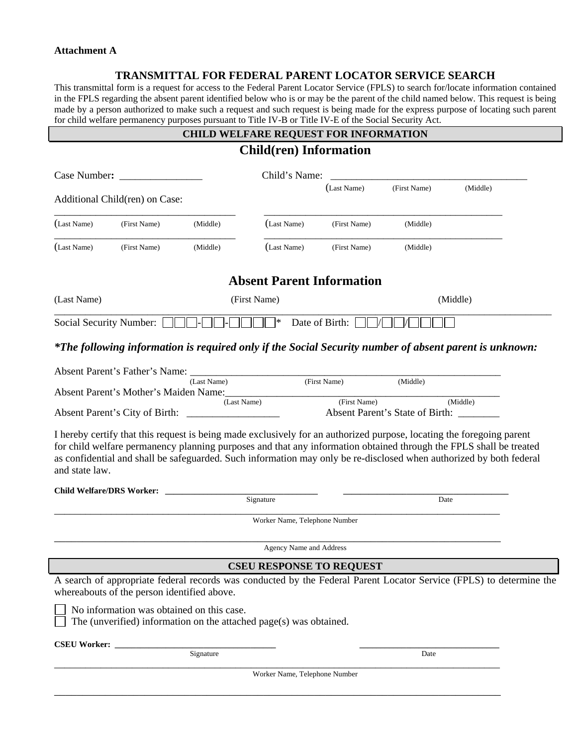#### **Attachment A**

ſ

## **TRANSMITTAL FOR FEDERAL PARENT LOCATOR SERVICE SEARCH**

This transmittal form is a request for access to the Federal Parent Locator Service (FPLS) to search for/locate information contained in the FPLS regarding the absent parent identified below who is or may be the parent of the child named below. This request is being made by a person authorized to make such a request and such request is being made for the express purpose of locating such parent for child welfare permanency purposes pursuant to Title IV-B or Title IV-E of the Social Security Act.

# **CHILD WELFARE REQUEST FOR INFORMATION**

|                         | <b>Child(ren)</b> Information               |                                           |                                                                    |                |                                                         |                                                                                                                                                                                                                                                                                                                                                                    |  |  |
|-------------------------|---------------------------------------------|-------------------------------------------|--------------------------------------------------------------------|----------------|---------------------------------------------------------|--------------------------------------------------------------------------------------------------------------------------------------------------------------------------------------------------------------------------------------------------------------------------------------------------------------------------------------------------------------------|--|--|
|                         | Case Number:                                |                                           | Child's Name:                                                      |                | <u> 1980 - Jan Barbara, masonar a shekara 1980 - An</u> |                                                                                                                                                                                                                                                                                                                                                                    |  |  |
|                         | Additional Child(ren) on Case:              |                                           |                                                                    | (Last Name)    | (First Name)                                            | (Middle)                                                                                                                                                                                                                                                                                                                                                           |  |  |
| (Last Name)             | (First Name)                                | (Middle)                                  | (Last Name)                                                        | (First Name)   | (Middle)                                                |                                                                                                                                                                                                                                                                                                                                                                    |  |  |
| (Last Name)             | (First Name)                                | (Middle)                                  | (Last Name)                                                        | (First Name)   | (Middle)                                                |                                                                                                                                                                                                                                                                                                                                                                    |  |  |
|                         |                                             |                                           | <b>Absent Parent Information</b>                                   |                |                                                         |                                                                                                                                                                                                                                                                                                                                                                    |  |  |
| (Last Name)             |                                             |                                           | (First Name)                                                       |                |                                                         | (Middle)                                                                                                                                                                                                                                                                                                                                                           |  |  |
| Social Security Number: |                                             |                                           | ∣∗                                                                 | Date of Birth: |                                                         |                                                                                                                                                                                                                                                                                                                                                                    |  |  |
|                         |                                             |                                           |                                                                    |                |                                                         | *The following information is required only if the Social Security number of absent parent is unknown:                                                                                                                                                                                                                                                             |  |  |
|                         |                                             | (Last Name)                               |                                                                    | (First Name)   | (Middle)                                                |                                                                                                                                                                                                                                                                                                                                                                    |  |  |
|                         |                                             |                                           | Absent Parent's Mother's Maiden Name:                              | (First Name)   |                                                         |                                                                                                                                                                                                                                                                                                                                                                    |  |  |
|                         |                                             | (Last Name)                               |                                                                    |                |                                                         | (Middle)                                                                                                                                                                                                                                                                                                                                                           |  |  |
| and state law.          |                                             |                                           |                                                                    |                |                                                         | I hereby certify that this request is being made exclusively for an authorized purpose, locating the foregoing parent<br>for child welfare permanency planning purposes and that any information obtained through the FPLS shall be treated<br>as confidential and shall be safeguarded. Such information may only be re-disclosed when authorized by both federal |  |  |
|                         |                                             |                                           | Signature                                                          |                | Date                                                    |                                                                                                                                                                                                                                                                                                                                                                    |  |  |
|                         |                                             |                                           |                                                                    |                |                                                         |                                                                                                                                                                                                                                                                                                                                                                    |  |  |
|                         |                                             |                                           | Worker Name, Telephone Number                                      |                |                                                         |                                                                                                                                                                                                                                                                                                                                                                    |  |  |
|                         |                                             |                                           | Agency Name and Address                                            |                |                                                         |                                                                                                                                                                                                                                                                                                                                                                    |  |  |
|                         |                                             |                                           | <b>CSEU RESPONSE TO REQUEST</b>                                    |                |                                                         |                                                                                                                                                                                                                                                                                                                                                                    |  |  |
|                         | whereabouts of the person identified above. |                                           |                                                                    |                |                                                         | A search of appropriate federal records was conducted by the Federal Parent Locator Service (FPLS) to determine the                                                                                                                                                                                                                                                |  |  |
|                         |                                             | No information was obtained on this case. | The (unverified) information on the attached page(s) was obtained. |                |                                                         |                                                                                                                                                                                                                                                                                                                                                                    |  |  |
| <b>CSEU Worker:</b>     |                                             |                                           |                                                                    |                |                                                         |                                                                                                                                                                                                                                                                                                                                                                    |  |  |
|                         |                                             | Signature                                 |                                                                    |                | Date                                                    |                                                                                                                                                                                                                                                                                                                                                                    |  |  |
|                         |                                             |                                           | Worker Name, Telephone Number                                      |                |                                                         |                                                                                                                                                                                                                                                                                                                                                                    |  |  |
|                         |                                             |                                           |                                                                    |                |                                                         |                                                                                                                                                                                                                                                                                                                                                                    |  |  |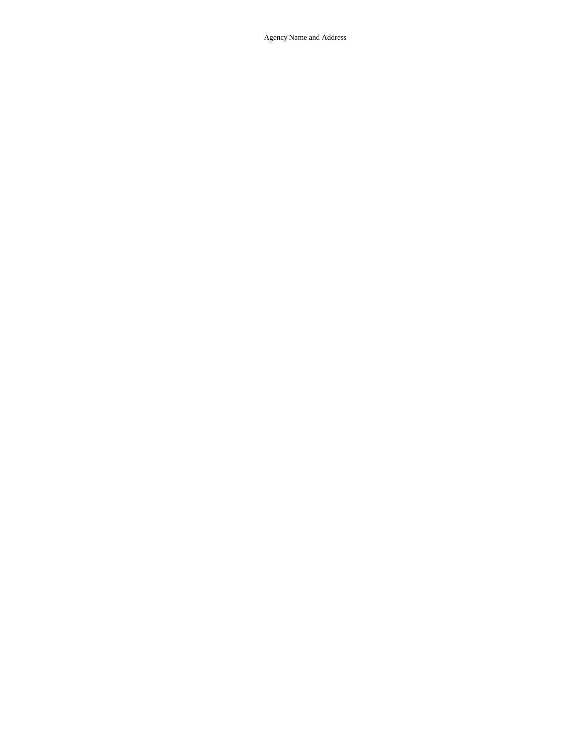Agency Name and Address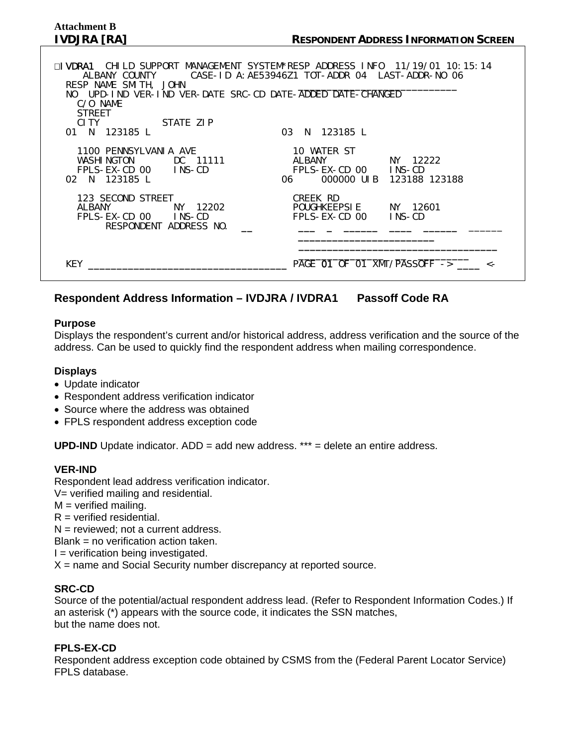# **Attachment B**

| □IVDRA1 CHILD SUPPORT MANAGEMENT SYSTEM*RESP ADDRESS INFO  11/19/01 10:15:14<br>ALBANY COUNTY CASE-ID A: AE53946Z1 TOT-ADDR 04 LAST-ADDR-NO 06<br>RESP NAME SMITH, JOHN<br>NO UPD-IND VER-IND VER-DATE SRC-CD DATE-ADDED DATE-CHANGED<br>C/O NAME<br><b>STREET</b><br>CITY STATE ZIP<br>01 N 123185 L | 03 N 123185 L                                                                         |
|-------------------------------------------------------------------------------------------------------------------------------------------------------------------------------------------------------------------------------------------------------------------------------------------------------|---------------------------------------------------------------------------------------|
| 1100 PENNSYLVANIA AVE<br>WASHINGTON DC 11111<br>FPLS-EX-CD 00 INS-CD<br>02 N 123185 I                                                                                                                                                                                                                 | 10 WATER ST<br>ALBANY NY 12222<br>FPLS-EX-CD 00 INS-CD<br>06 000000 UIB 123188 123188 |
| 123 SECOND STREET<br>ALBANY NY 12202<br>FPLS-EX-CD 00 INS-CD<br>RESPONDENT ADDRESS NO.                                                                                                                                                                                                                | CREEK RD<br>POUGHKEEPSIE NY 12601<br>FPLS-EX-CD 00 INS-CD                             |
| KEY                                                                                                                                                                                                                                                                                                   | PAGE 01 OF 01 XMT/PASSOFF ->                                                          |

# **Respondent Address Information – IVDJRA / IVDRA1 Passoff Code RA**

## **Purpose**

Displays the respondent's current and/or historical address, address verification and the source of the address. Can be used to quickly find the respondent address when mailing correspondence.

## **Displays**

- Update indicator
- Respondent address verification indicator
- Source where the address was obtained
- FPLS respondent address exception code

**UPD-IND** Update indicator. ADD = add new address. \*\*\* = delete an entire address.

## **VER-IND**

Respondent lead address verification indicator.

- V= verified mailing and residential.
- $M =$  verified mailing.
- $R =$  verified residential.
- $N =$  reviewed; not a current address.
- Blank = no verification action taken.
- $I =$  verification being investigated.
- $X$  = name and Social Security number discrepancy at reported source.

## **SRC-CD**

Source of the potential/actual respondent address lead. (Refer to Respondent Information Codes.) If an asterisk (\*) appears with the source code, it indicates the SSN matches, but the name does not.

## **FPLS-EX-CD**

Respondent address exception code obtained by CSMS from the (Federal Parent Locator Service) FPLS database.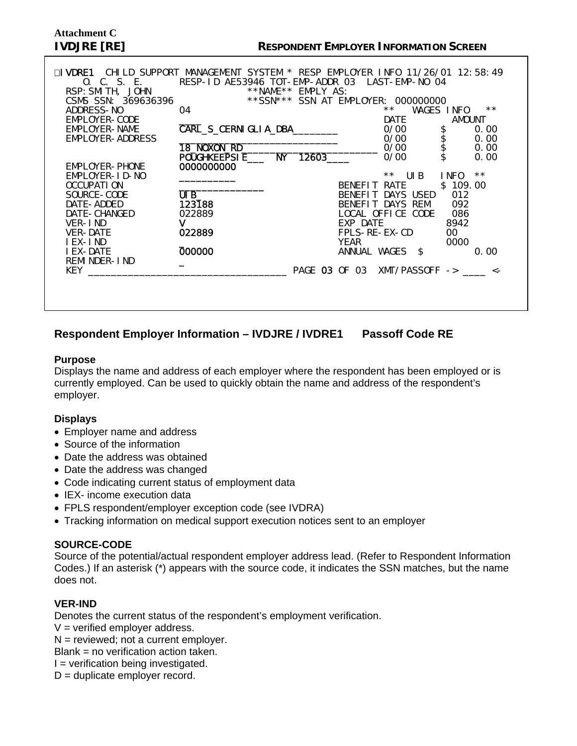# **Attachment C**

| ⊟I VDRF1<br>0. C. S. E.<br>RSP: SMI TH, JOHN<br>CSMS SSN: 369636396 | CHILD SUPPORT MANAGEMENT SYSTEM * RESP EMPLOYER INFO 11/26/01 12:58:49<br>RESP-ID AE53946 TOT-EMP-ADDR 03 LAST-EMP-NO 04 | **NAME** EMPLY AS: |               | ** SSN *** SSN AT EMPLOYER: 000000000 |            |              |
|---------------------------------------------------------------------|--------------------------------------------------------------------------------------------------------------------------|--------------------|---------------|---------------------------------------|------------|--------------|
| ADDRESS-NO                                                          | 04                                                                                                                       |                    |               | $***$                                 | WAGES INFO | $**$         |
| EMPLOYER-CODE                                                       |                                                                                                                          |                    |               | <b>DATE</b>                           | AMOUNT     |              |
| EMPLOYER-NAME                                                       | CARL_S_CERNI GLI A_DBA________                                                                                           |                    |               | 0/00                                  |            | 0.00         |
| EMPLOYER-ADDRESS                                                    |                                                                                                                          |                    |               | 0/00                                  | \$\$\$\$   | 0.00         |
|                                                                     | 18_NOXON_RD_                                                                                                             |                    |               | 0/00                                  |            | 0.00         |
|                                                                     | POUGHKEEPSIE___ NY                                                                                                       | 12603              |               | 0/00                                  |            | 0.00         |
| EMPLOYER-PHONE                                                      | 0000000000                                                                                                               |                    |               |                                       |            |              |
| EMPLOYER-ID-NO                                                      |                                                                                                                          |                    |               | $**$ UIB                              | I NFO      | $\star\star$ |
| OCCUPATI ON                                                         |                                                                                                                          |                    | BENEFIT RATE  |                                       | \$109.00   |              |
| SOURCE-CODE                                                         | UIB                                                                                                                      |                    |               | BENEFIT DAYS USED                     | 012        |              |
| DATE-ADDED                                                          | 123188                                                                                                                   |                    |               | BENEFIT DAYS REM 092                  |            |              |
| DATE-CHANGED                                                        | 022889                                                                                                                   |                    |               | LOCAL OFFICE CODE                     | 086        |              |
| VER-IND                                                             | v                                                                                                                        |                    | EXP DATE      |                                       | 8942       |              |
| VER-DATE                                                            | 022889                                                                                                                   |                    | FPLS-RE-EX-CD |                                       | 00         |              |
| I EX-I ND                                                           | 000000                                                                                                                   |                    | YEAR          |                                       | 0000       |              |
| I EX-DATE<br>REMI NDER-I ND                                         |                                                                                                                          |                    |               | ANNUAL WAGES \$                       |            | 0.00         |
| <b>KEY</b>                                                          |                                                                                                                          |                    |               | PAGE 03 OF 03 XMT/PASSOFF -> _____ <- |            |              |
|                                                                     |                                                                                                                          |                    |               |                                       |            |              |
|                                                                     |                                                                                                                          |                    |               |                                       |            |              |
|                                                                     |                                                                                                                          |                    |               |                                       |            |              |
|                                                                     |                                                                                                                          |                    |               |                                       |            |              |

# **Respondent Employer Information – IVDJRE / IVDRE1 Passoff Code RE**

## **Purpose**

Displays the name and address of each employer where the respondent has been employed or is currently employed. Can be used to quickly obtain the name and address of the respondent's employer.

## **Displays**

- Employer name and address
- Source of the information
- Date the address was obtained
- Date the address was changed
- Code indicating current status of employment data
- IEX- income execution data
- FPLS respondent/employer exception code (see IVDRA)
- Tracking information on medical support execution notices sent to an employer

## **SOURCE-CODE**

Source of the potential/actual respondent employer address lead. (Refer to Respondent Information Codes.) If an asterisk (\*) appears with the source code, it indicates the SSN matches, but the name does not.

## **VER-IND**

Denotes the current status of the respondent's employment verification.

- $V =$  verified employer address.
- $N =$  reviewed; not a current employer.
- Blank = no verification action taken.
- $I =$  verification being investigated.
- $D =$  duplicate employer record.